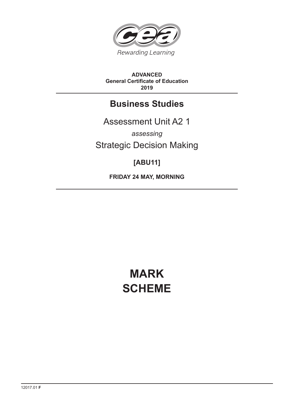

#### **ADVANCED General Certificate of Education 2019**

# **Business Studies**

Assessment Unit A2 1 *assessing*

Strategic Decision Making

# **[ABU11]**

**FRIDAY 24 MAY, MORNING**

# **MARK SCHEME**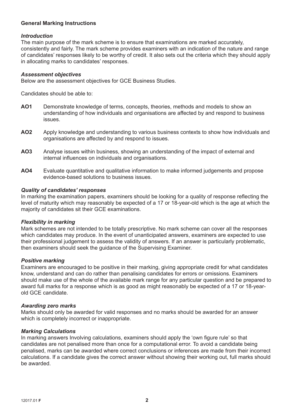#### **General Marking Instructions**

#### *Introduction*

The main purpose of the mark scheme is to ensure that examinations are marked accurately, consistently and fairly. The mark scheme provides examiners with an indication of the nature and range of candidates' responses likely to be worthy of credit. It also sets out the criteria which they should apply in allocating marks to candidates' responses.

#### *Assessment objectives*

Below are the assessment objectives for GCE Business Studies.

Candidates should be able to:

- **AO1** Demonstrate knowledge of terms, concepts, theories, methods and models to show an understanding of how individuals and organisations are affected by and respond to business issues.
- **AO2** Apply knowledge and understanding to various business contexts to show how individuals and organisations are affected by and respond to issues.
- **AO3** Analyse issues within business, showing an understanding of the impact of external and internal influences on individuals and organisations.
- **AO4** Evaluate quantitative and qualitative information to make informed judgements and propose evidence-based solutions to business issues.

#### *Quality of candidates' responses*

In marking the examination papers, examiners should be looking for a quality of response reflecting the level of maturity which may reasonably be expected of a 17 or 18-year-old which is the age at which the majority of candidates sit their GCE examinations.

#### *Flexibility in marking*

Mark schemes are not intended to be totally prescriptive. No mark scheme can cover all the responses which candidates may produce. In the event of unanticipated answers, examiners are expected to use their professional judgement to assess the validity of answers. If an answer is particularly problematic, then examiners should seek the guidance of the Supervising Examiner.

#### *Positive marking*

Examiners are encouraged to be positive in their marking, giving appropriate credit for what candidates know, understand and can do rather than penalising candidates for errors or omissions. Examiners should make use of the whole of the available mark range for any particular question and be prepared to award full marks for a response which is as good as might reasonably be expected of a 17 or 18-yearold GCE candidate.

#### *Awarding zero marks*

Marks should only be awarded for valid responses and no marks should be awarded for an answer which is completely incorrect or inappropriate.

#### *Marking Calculations*

In marking answers Involving calculations, examiners should apply the 'own figure rule' so that candidates are not penalised more than once for a computational error. To avoid a candidate being penalised, marks can be awarded where correct conclusions or inferences are made from their incorrect calculations. If a candidate gives the correct answer without showing their working out, full marks should be awarded.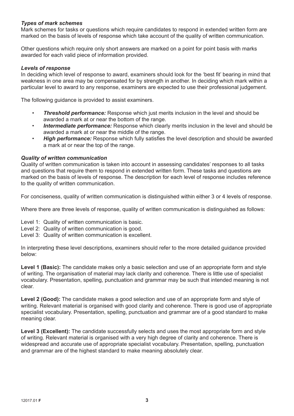# *Types of mark schemes*

Mark schemes for tasks or questions which require candidates to respond in extended written form are marked on the basis of levels of response which take account of the quality of written communication.

Other questions which require only short answers are marked on a point for point basis with marks awarded for each valid piece of information provided.

#### *Levels of response*

In deciding which level of response to award, examiners should look for the 'best fit' bearing in mind that weakness in one area may be compensated for by strength in another. In deciding which mark within a particular level to award to any response, examiners are expected to use their professional judgement.

The following guidance is provided to assist examiners.

- *Threshold performance:* Response which just merits inclusion in the level and should be awarded a mark at or near the bottom of the range.
- *Intermediate performance:* Response which clearly merits inclusion in the level and should be awarded a mark at or near the middle of the range.
- *High performance:* Response which fully satisfies the level description and should be awarded a mark at or near the top of the range.

#### *Quality of written communication*

Quality of written communication is taken into account in assessing candidates' responses to all tasks and questions that require them to respond in extended written form. These tasks and questions are marked on the basis of levels of response. The description for each level of response includes reference to the quality of written communication.

For conciseness, quality of written communication is distinguished within either 3 or 4 levels of response.

Where there are three levels of response, quality of written communication is distinguished as follows:

- Level 1: Quality of written communication is basic.
- Level 2: Quality of written communication is good.
- Level 3: Quality of written communication is excellent.

In interpreting these level descriptions, examiners should refer to the more detailed guidance provided below:

Level 1 (Basic): The candidate makes only a basic selection and use of an appropriate form and style of writing. The organisation of material may lack clarity and coherence. There is little use of specialist vocabulary. Presentation, spelling, punctuation and grammar may be such that intended meaning is not clear.

**Level 2 (Good):** The candidate makes a good selection and use of an appropriate form and style of writing. Relevant material is organised with good clarity and coherence. There is good use of appropriate specialist vocabulary. Presentation, spelling, punctuation and grammar are of a good standard to make meaning clear.

Level 3 (Excellent): The candidate successfully selects and uses the most appropriate form and style of writing. Relevant material is organised with a very high degree of clarity and coherence. There is widespread and accurate use of appropriate specialist vocabulary. Presentation, spelling, punctuation and grammar are of the highest standard to make meaning absolutely clear.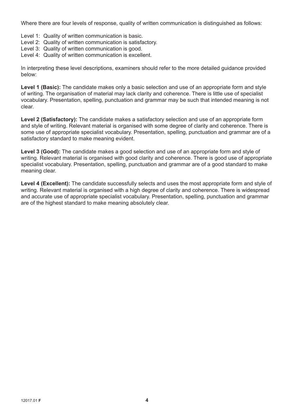Where there are four levels of response, quality of written communication is distinguished as follows:

- Level 1: Quality of written communication is basic.
- Level 2: Quality of written communication is satisfactory.
- Level 3: Quality of written communication is good.
- Level 4: Quality of written communication is excellent.

In interpreting these level descriptions, examiners should refer to the more detailed guidance provided below:

**Level 1 (Basic):** The candidate makes only a basic selection and use of an appropriate form and style of writing. The organisation of material may lack clarity and coherence. There is little use of specialist vocabulary. Presentation, spelling, punctuation and grammar may be such that intended meaning is not clear.

**Level 2 (Satisfactory):** The candidate makes a satisfactory selection and use of an appropriate form and style of writing. Relevant material is organised with some degree of clarity and coherence. There is some use of appropriate specialist vocabulary. Presentation, spelling, punctuation and grammar are of a satisfactory standard to make meaning evident.

**Level 3 (Good):** The candidate makes a good selection and use of an appropriate form and style of writing. Relevant material is organised with good clarity and coherence. There is good use of appropriate specialist vocabulary. Presentation, spelling, punctuation and grammar are of a good standard to make meaning clear.

Level 4 (Excellent): The candidate successfully selects and uses the most appropriate form and style of writing. Relevant material is organised with a high degree of clarity and coherence. There is widespread and accurate use of appropriate specialist vocabulary. Presentation, spelling, punctuation and grammar are of the highest standard to make meaning absolutely clear.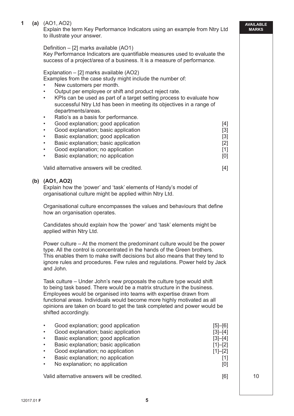#### **1 (a)** (AO1, AO2)

 Explain the term Key Performance Indicators using an example from Ntry Ltd to illustrate your answer.

#### Definition – [2] marks available (AO1)

 Key Performance Indicators are quantifiable measures used to evaluate the success of a project/area of a business. It is a measure of performance.

#### Explanation – [2] marks available (AO2)

Examples from the case study might include the number of:

- New customers per month.
- Output per employee or shift and product reject rate.
- KPIs can be used as part of a target setting process to evaluate how successful Ntry Ltd has been in meeting its objectives in a range of departments/areas.
- Ratio's as a basis for performance.
- Good explanation; good application **EXACTE 14** [4]
- Good explanation; basic application **Example 20** (3)
- **Basic explanation; good application [3]**
- **Basic explanation; basic application [2]** [2]
- Good explanation; no application **EXACTE 10** Cood explanation; no application
- **Basic explanation: no application contract to the explanation contract of the explanation contract of the explorer of the explorer of the explorer of the explorer of the explorer of the explorer of the explorer of the exp**

Valid alternative answers will be credited. [4]

#### **(b) (AO1, AO2)**

 Explain how the 'power' and 'task' elements of Handy's model of organisational culture might be applied within Ntry Ltd.

 Organisational culture encompasses the values and behaviours that define how an organisation operates.

 Candidates should explain how the 'power' and 'task' elements might be applied within Ntry Ltd.

 Power culture – At the moment the predominant culture would be the power type. All the control is concentrated in the hands of the Green brothers. This enables them to make swift decisions but also means that they tend to ignore rules and procedures. Few rules and regulations. Power held by Jack and John.

 Task culture – Under John's new proposals the culture type would shift to being task based. There would be a matrix structure in the business. Employees would be organised into teams with expertise drawn from functional areas. Individuals would become more highly motivated as all opinions are taken on board to get the task completed and power would be shifted accordingly.

| $\bullet$ | Good explanation; good application          | $[5] - [6]$ |    |
|-----------|---------------------------------------------|-------------|----|
|           | Good explanation; basic application         | $[3]-[4]$   |    |
| $\bullet$ | Basic explanation; good application         | $[3]-[4]$   |    |
| $\bullet$ | Basic explanation; basic application        | $[1]-[2]$   |    |
| $\bullet$ | Good explanation; no application            | $[1]-[2]$   |    |
| $\bullet$ | Basic explanation; no application           | [1]         |    |
| $\bullet$ | No explanation; no application              | [0]         |    |
|           | Valid alternative answers will be credited. | [6]         | 10 |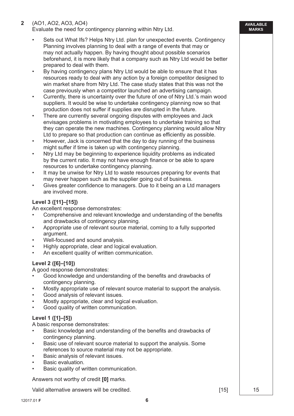# **2** (AO1, AO2, AO3, AO4)

Evaluate the need for contingency planning within Ntry Ltd.

- Sets out What Ifs? Helps Ntry Ltd. plan for unexpected events. Contingency Planning involves planning to deal with a range of events that may or may not actually happen. By having thought about possible scenarios beforehand, it is more likely that a company such as Ntry Ltd would be better prepared to deal with them.
- By having contingency plans Ntry Ltd would be able to ensure that it has resources ready to deal with any action by a foreign competitor designed to win market share from Ntry Ltd. The case study states that this was not the case previously when a competitor launched an advertising campaign.
- Currently, there is uncertainty over the future of one of Ntry Ltd.'s main wood suppliers. It would be wise to undertake contingency planning now so that production does not suffer if supplies are disrupted in the future.
- There are currently several ongoing disputes with employees and Jack envisages problems in motivating employees to undertake training so that they can operate the new machines. Contingency planning would allow Ntry Ltd to prepare so that production can continue as efficiently as possible.
- However, Jack is concerned that the day to day running of the business might suffer if time is taken up with contingency planning.
- Ntry Ltd may be beginning to experience liquidity problems as indicated by the current ratio. It may not have enough finance or be able to spare resources to undertake contingency planning.
- It may be unwise for Ntry Ltd to waste resources preparing for events that may never happen such as the supplier going out of business.
- Gives greater confidence to managers. Due to it being an a Ltd managers are involved more.

# **Level 3 ([11]–[15])**

An excellent response demonstrates:

- Comprehensive and relevant knowledge and understanding of the benefits and drawbacks of contingency planning.
- Appropriate use of relevant source material, coming to a fully supported argument.
- Well-focused and sound analysis.
- Highly appropriate, clear and logical evaluation.
- An excellent quality of written communication.

# **Level 2 ([6]–[10])**

A good response demonstrates:

- Good knowledge and understanding of the benefits and drawbacks of contingency planning.
- Mostly appropriate use of relevant source material to support the analysis.
- Good analysis of relevant issues.
- Mostly appropriate, clear and logical evaluation.
- Good quality of written communication.

# **Level 1 ([1]–[5])**

A basic response demonstrates:

- Basic knowledge and understanding of the benefits and drawbacks of contingency planning.
- Basic use of relevant source material to support the analysis. Some references to source material may not be appropriate.
- Basic analysis of relevant issues.
- Basic evaluation.
- Basic quality of written communication.

Answers not worthy of credit **[0]** marks.

Valid alternative answers will be credited. The same state of the set of the set of the set of the set of the s

**AVAILABLE MARKS**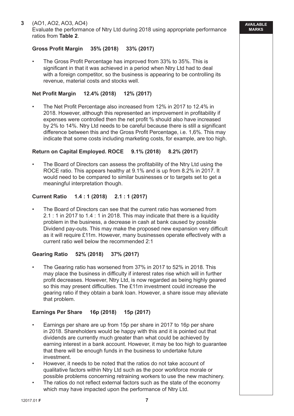Evaluate the performance of Ntry Ltd during 2018 using appropriate performance ratios from **Table 2**.

#### **Gross Profit Margin 35% (2018) 33% (2017)**

 • The Gross Profit Percentage has improved from 33% to 35%. This is significant in that it was achieved in a period when Ntry Ltd had to deal with a foreign competitor, so the business is appearing to be controlling its revenue, material costs and stocks well.

#### **Net Profit Margin 12.4% (2018) 12% (2017)**

 • The Net Profit Percentage also increased from 12% in 2017 to 12.4% in 2018. However, although this represented an improvement in profitability if expenses were controlled then the net profit % should also have increased by 2% to 14%. Ntry Ltd needs to be careful because there is still a significant difference between this and the Gross Profit Percentage, i.e. 1,6%. This may indicate that some costs including marketing costs, for example, are too high.

#### **Return on Capital Employed. ROCE 9.1% (2018) 8.2% (2017)**

 • The Board of Directors can assess the profitability of the Ntry Ltd using the ROCE ratio. This appears healthy at 9.1% and is up from 8.2% in 2017. It would need to be compared to similar businesses or to targets set to get a meaningful interpretation though.

#### **Current Ratio 1.4 : 1 (2018) 2.1 : 1 (2017)**

 • The Board of Directors can see that the current ratio has worsened from 2.1 : 1 in 2017 to 1.4 : 1 in 2018. This may indicate that there is a liquidity problem in the business, a decrease in cash at bank caused by possible Dividend pay-outs. This may make the proposed new expansion very difficult as it will require £11m. However, many businesses operate effectively with a current ratio well below the recommended 2:1

#### **Gearing Ratio 52% (2018) 37% (2017)**

 • The Gearing ratio has worsened from 37% in 2017 to 52% in 2018. This may place the business in difficulty if interest rates rise which will in further profit decreases. However, Ntry Ltd, is now regarded as being highly geared so this may present difficulties. The £11m investment could increase the gearing ratio if they obtain a bank loan. However, a share issue may alleviate that problem.

# **Earnings Per Share 16p (2018) 15p (2017)**

- Earnings per share are up from 15p per share in 2017 to 16p per share in 2018. Shareholders would be happy with this and it is pointed out that dividends are currently much greater than what could be achieved by earning interest in a bank account. However, it may be too high to guarantee that there will be enough funds in the business to undertake future investment.
- However, it needs to be noted that the ratios do not take account of qualitative factors within Ntry Ltd such as the poor workforce morale or possible problems concerning retraining workers to use the new machinery.
- The ratios do not reflect external factors such as the state of the economy which may have impacted upon the performance of Ntry Ltd.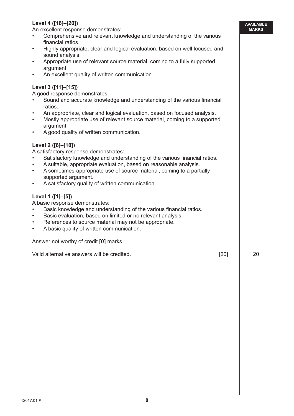# **Level 4 ([16]–[20])**

An excellent response demonstrates:

- Comprehensive and relevant knowledge and understanding of the various financial ratios.
- Highly appropriate, clear and logical evaluation, based on well focused and sound analysis.
- Appropriate use of relevant source material, coming to a fully supported argument.
- An excellent quality of written communication.

# **Level 3 ([11]–[15])**

A good response demonstrates:

- Sound and accurate knowledge and understanding of the various financial ratios.
- An appropriate, clear and logical evaluation, based on focused analysis.
- Mostly appropriate use of relevant source material, coming to a supported argument.
- A good quality of written communication.

# **Level 2 ([6]–[10])**

A satisfactory response demonstrates:

- Satisfactory knowledge and understanding of the various financial ratios.
- A suitable, appropriate evaluation, based on reasonable analysis.
- A sometimes-appropriate use of source material, coming to a partially supported argument.
- A satisfactory quality of written communication.

# **Level 1 ([1]–[5])**

A basic response demonstrates:

- Basic knowledge and understanding of the various financial ratios.
- Basic evaluation, based on limited or no relevant analysis.
- References to source material may not be appropriate.
- A basic quality of written communication.

Answer not worthy of credit **[0]** marks.

Valid alternative answers will be credited. [20] 20

**AVAILABLE MARKS**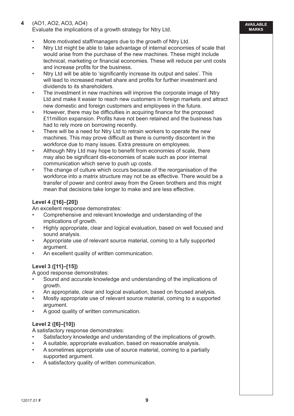# **4** (AO1, AO2, AO3, AO4)

Evaluate the implications of a growth strategy for Ntry Ltd.

- More motivated staff/managers due to the growth of Ntry Ltd.
- Ntry Ltd might be able to take advantage of internal economies of scale that would arise from the purchase of the new machines. These might include technical, marketing or financial economies. These will reduce per unit costs and increase profits for the business.
- Ntry Ltd will be able to 'significantly increase its output and sales'. This will lead to increased market share and profits for further investment and dividends to its shareholders.
- The investment in new machines will improve the corporate image of Ntry Ltd and make it easier to reach new customers in foreign markets and attract new domestic and foreign customers and employees in the future.
- However, there may be difficulties in acquiring finance for the proposed £11million expansion. Profits have not been retained and the business has had to rely more on borrowing recently.
- There will be a need for Ntry Ltd to retrain workers to operate the new machines. This may prove difficult as there is currently discontent in the workforce due to many issues. Extra pressure on employees.
- Although Ntry Ltd may hope to benefit from economies of scale, there may also be significant dis-economies of scale such as poor internal communication which serve to push up costs.
- The change of culture which occurs because of the reorganisation of the workforce into a matrix structure may not be as effective. There would be a transfer of power and control away from the Green brothers and this might mean that decisions take longer to make and are less effective.

# **Level 4 ([16]–[20])**

An excellent response demonstrates:

- Comprehensive and relevant knowledge and understanding of the implications of growth.
- Highly appropriate, clear and logical evaluation, based on well focused and sound analysis.
- Appropriate use of relevant source material, coming to a fully supported argument.
- An excellent quality of written communication.

# **Level 3 ([11]–[15])**

A good response demonstrates:

- Sound and accurate knowledge and understanding of the implications of growth.
- An appropriate, clear and logical evaluation, based on focused analysis.
- Mostly appropriate use of relevant source material, coming to a supported argument.
- A good quality of written communication.

# **Level 2 ([6]–[10])**

A satisfactory response demonstrates:

- Satisfactory knowledge and understanding of the implications of growth.
- A suitable, appropriate evaluation, based on reasonable analysis.
- A sometimes appropriate use of source material, coming to a partially supported argument.
- A satisfactory quality of written communication.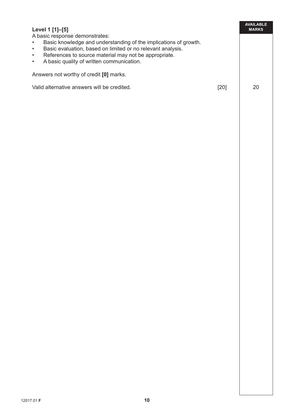| Level 1 [1]–[5]                                                                                                                                                                                                                                                                                                             |      | AVAII ARI F<br><b>MARKS</b> |
|-----------------------------------------------------------------------------------------------------------------------------------------------------------------------------------------------------------------------------------------------------------------------------------------------------------------------------|------|-----------------------------|
| A basic response demonstrates:<br>Basic knowledge and understanding of the implications of growth.<br>$\bullet$<br>Basic evaluation, based on limited or no relevant analysis.<br>$\bullet$<br>References to source material may not be appropriate.<br>$\bullet$<br>A basic quality of written communication.<br>$\bullet$ |      |                             |
| Answers not worthy of credit [0] marks.                                                                                                                                                                                                                                                                                     |      |                             |
| Valid alternative answers will be credited.                                                                                                                                                                                                                                                                                 | [20] | 20                          |
|                                                                                                                                                                                                                                                                                                                             |      |                             |
|                                                                                                                                                                                                                                                                                                                             |      |                             |
|                                                                                                                                                                                                                                                                                                                             |      |                             |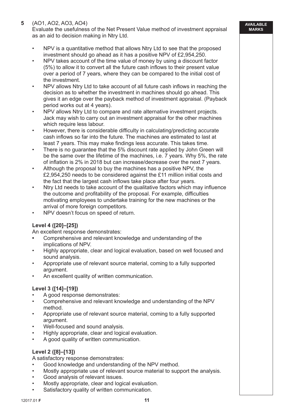# **5** (AO1, AO2, AO3, AO4)

 Evaluate the usefulness of the Net Present Value method of investment appraisal as an aid to decision making in Ntry Ltd.

- NPV is a quantitative method that allows Ntry Ltd to see that the proposed investment should go ahead as it has a positive NPV of £2,954,250.
- NPV takes account of the time value of money by using a discount factor (5%) to allow it to convert all the future cash inflows to their present value over a period of 7 years, where they can be compared to the initial cost of the investment.
- NPV allows Ntry Ltd to take account of all future cash inflows in reaching the decision as to whether the investment in machines should go ahead. This gives it an edge over the payback method of investment appraisal. (Payback period works out at 4 years).
- NPV allows Ntry Ltd to compare and rate alternative investment projects. Jack may wish to carry out an investment appraisal for the other machines which require less labour.
- However, there is considerable difficulty in calculating/predicting accurate cash inflows so far into the future. The machines are estimated to last at least 7 years. This may make findings less accurate. This takes time.
- There is no guarantee that the 5% discount rate applied by John Green will be the same over the lifetime of the machines, i.e. 7 years. Why 5%, the rate of inflation is 2% in 2018 but can increase/decrease over the next 7 years.
- Although the proposal to buy the machines has a positive NPV, the £2,954,250 needs to be considered against the £11 million initial costs and the fact that the largest cash inflows take place after four years.
- Ntry Ltd needs to take account of the qualitative factors which may influence the outcome and profitability of the proposal. For example, difficulties motivating employees to undertake training for the new machines or the arrival of more foreign competitors.
- NPV doesn't focus on speed of return.

# **Level 4 ([20]–[25])**

An excellent response demonstrates:

- Comprehensive and relevant knowledge and understanding of the implications of NPV.
- Highly appropriate, clear and logical evaluation, based on well focused and sound analysis.
- Appropriate use of relevant source material, coming to a fully supported argument.
- An excellent quality of written communication.

# **Level 3 ([14]–[19])**

- A good response demonstrates:
- Comprehensive and relevant knowledge and understanding of the NPV method.
- Appropriate use of relevant source material, coming to a fully supported argument.
- Well-focused and sound analysis.
- Highly appropriate, clear and logical evaluation.
- A good quality of written communication.

# **Level 2 ([8]–[13])**

A satisfactory response demonstrates:

- Good knowledge and understanding of the NPV method.
- Mostly appropriate use of relevant source material to support the analysis.
- Good analysis of relevant issues.
- Mostly appropriate, clear and logical evaluation.
- Satisfactory quality of written communication.